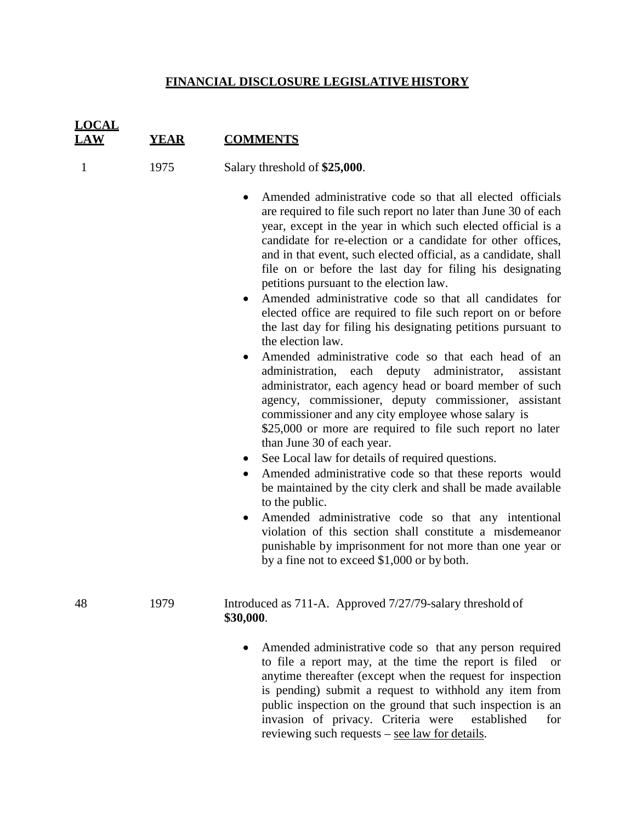## **FINANCIAL DISCLOSURE LEGISLATIVE HISTORY**

| <b>LOCAL</b><br>.AW | <b>YEAR</b> | <b>COMMENTS</b>                                                                                                                                                                                                                                                                                                                                                                                                                                                                                                                                                                                                                                                                                                                                                                                                                                                                                                                                                                                                                                                                                                                                                                                                                                                                                                                                                                                                                                                                                      |
|---------------------|-------------|------------------------------------------------------------------------------------------------------------------------------------------------------------------------------------------------------------------------------------------------------------------------------------------------------------------------------------------------------------------------------------------------------------------------------------------------------------------------------------------------------------------------------------------------------------------------------------------------------------------------------------------------------------------------------------------------------------------------------------------------------------------------------------------------------------------------------------------------------------------------------------------------------------------------------------------------------------------------------------------------------------------------------------------------------------------------------------------------------------------------------------------------------------------------------------------------------------------------------------------------------------------------------------------------------------------------------------------------------------------------------------------------------------------------------------------------------------------------------------------------------|
| 1                   | 1975        | Salary threshold of \$25,000.                                                                                                                                                                                                                                                                                                                                                                                                                                                                                                                                                                                                                                                                                                                                                                                                                                                                                                                                                                                                                                                                                                                                                                                                                                                                                                                                                                                                                                                                        |
|                     |             | Amended administrative code so that all elected officials<br>are required to file such report no later than June 30 of each<br>year, except in the year in which such elected official is a<br>candidate for re-election or a candidate for other offices,<br>and in that event, such elected official, as a candidate, shall<br>file on or before the last day for filing his designating<br>petitions pursuant to the election law.<br>Amended administrative code so that all candidates for<br>elected office are required to file such report on or before<br>the last day for filing his designating petitions pursuant to<br>the election law.<br>Amended administrative code so that each head of an<br>administration, each deputy administrator,<br>assistant<br>administrator, each agency head or board member of such<br>agency, commissioner, deputy commissioner, assistant<br>commissioner and any city employee whose salary is<br>\$25,000 or more are required to file such report no later<br>than June 30 of each year.<br>See Local law for details of required questions.<br>$\bullet$<br>Amended administrative code so that these reports would<br>be maintained by the city clerk and shall be made available<br>to the public.<br>Amended administrative code so that any intentional<br>$\bullet$<br>violation of this section shall constitute a misdemeanor<br>punishable by imprisonment for not more than one year or<br>by a fine not to exceed \$1,000 or by both. |
| 48                  | 1979        | Introduced as 711-A. Approved 7/27/79-salary threshold of<br>\$30,000.                                                                                                                                                                                                                                                                                                                                                                                                                                                                                                                                                                                                                                                                                                                                                                                                                                                                                                                                                                                                                                                                                                                                                                                                                                                                                                                                                                                                                               |
|                     |             | Amended administrative code so that any person required<br>to file a report may, at the time the report is filed<br><b>or</b><br>anytime thereafter (except when the request for inspection<br>is pending) submit a request to withhold any item from<br>public inspection on the ground that such inspection is an<br>invasion of privacy. Criteria were<br>established<br>for                                                                                                                                                                                                                                                                                                                                                                                                                                                                                                                                                                                                                                                                                                                                                                                                                                                                                                                                                                                                                                                                                                                      |

reviewing such requests - see law for details.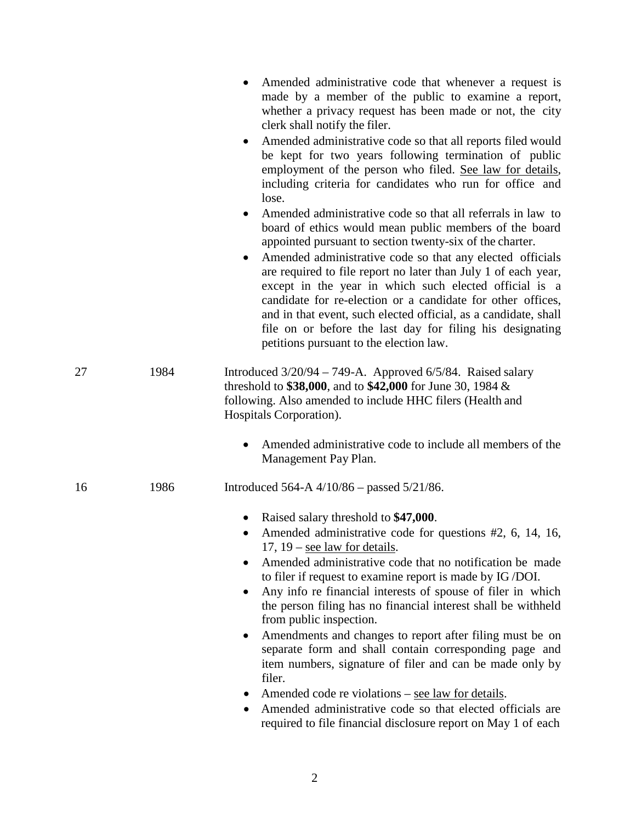|    |      | Amended administrative code that whenever a request is<br>made by a member of the public to examine a report,<br>whether a privacy request has been made or not, the city<br>clerk shall notify the filer.<br>Amended administrative code so that all reports filed would<br>$\bullet$<br>be kept for two years following termination of public<br>employment of the person who filed. See law for details,<br>including criteria for candidates who run for office and<br>lose.<br>Amended administrative code so that all referrals in law to<br>board of ethics would mean public members of the board<br>appointed pursuant to section twenty-six of the charter.<br>Amended administrative code so that any elected officials<br>are required to file report no later than July 1 of each year,<br>except in the year in which such elected official is a<br>candidate for re-election or a candidate for other offices,<br>and in that event, such elected official, as a candidate, shall<br>file on or before the last day for filing his designating<br>petitions pursuant to the election law. |
|----|------|----------------------------------------------------------------------------------------------------------------------------------------------------------------------------------------------------------------------------------------------------------------------------------------------------------------------------------------------------------------------------------------------------------------------------------------------------------------------------------------------------------------------------------------------------------------------------------------------------------------------------------------------------------------------------------------------------------------------------------------------------------------------------------------------------------------------------------------------------------------------------------------------------------------------------------------------------------------------------------------------------------------------------------------------------------------------------------------------------------|
| 27 | 1984 | Introduced $3/20/94 - 749-A$ . Approved $6/5/84$ . Raised salary<br>threshold to \$38,000, and to \$42,000 for June 30, 1984 $\&$<br>following. Also amended to include HHC filers (Health and<br>Hospitals Corporation).                                                                                                                                                                                                                                                                                                                                                                                                                                                                                                                                                                                                                                                                                                                                                                                                                                                                                |
|    |      | Amended administrative code to include all members of the<br>Management Pay Plan.                                                                                                                                                                                                                                                                                                                                                                                                                                                                                                                                                                                                                                                                                                                                                                                                                                                                                                                                                                                                                        |
| 16 | 1986 | Introduced 564-A $4/10/86$ – passed 5/21/86.                                                                                                                                                                                                                                                                                                                                                                                                                                                                                                                                                                                                                                                                                                                                                                                                                                                                                                                                                                                                                                                             |
|    |      | Raised salary threshold to \$47,000.<br>Amended administrative code for questions #2, 6, 14, 16,<br>$\bullet$<br>17, $19$ – see law for details.<br>Amended administrative code that no notification be made<br>to filer if request to examine report is made by IG/DOI.<br>Any info re financial interests of spouse of filer in which<br>the person filing has no financial interest shall be withheld<br>from public inspection.<br>Amendments and changes to report after filing must be on<br>separate form and shall contain corresponding page and<br>item numbers, signature of filer and can be made only by<br>filer.<br>Amended code re violations – see law for details.<br>Amended administrative code so that elected officials are<br>required to file financial disclosure report on May 1 of each                                                                                                                                                                                                                                                                                       |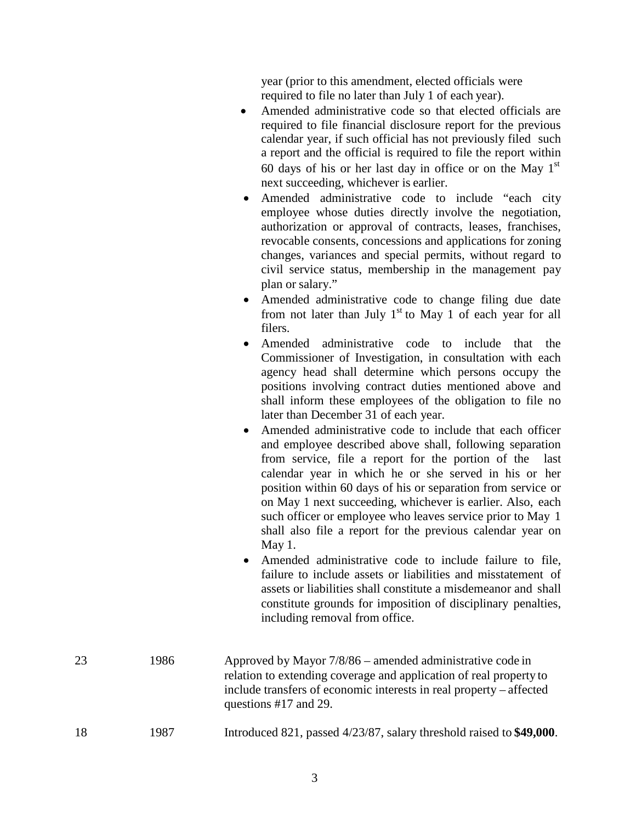year (prior to this amendment, elected officials were required to file no later than July 1 of each year).

- Amended administrative code so that elected officials are required to file financial disclosure report for the previous calendar year, if such official has not previously filed such a report and the official is required to file the report within 60 days of his or her last day in office or on the May  $1<sup>st</sup>$ next succeeding, whichever is earlier.
- Amended administrative code to include "each city employee whose duties directly involve the negotiation, authorization or approval of contracts, leases, franchises, revocable consents, concessions and applications for zoning changes, variances and special permits, without regard to civil service status, membership in the management pay plan or salary."
- Amended administrative code to change filing due date from not later than July  $1<sup>st</sup>$  to May 1 of each year for all filers.
- Amended administrative code to include that the Commissioner of Investigation, in consultation with each agency head shall determine which persons occupy the positions involving contract duties mentioned above and shall inform these employees of the obligation to file no later than December 31 of each year.
- Amended administrative code to include that each officer and employee described above shall, following separation from service, file a report for the portion of the last calendar year in which he or she served in his or her position within 60 days of his or separation from service or on May 1 next succeeding, whichever is earlier. Also, each such officer or employee who leaves service prior to May 1 shall also file a report for the previous calendar year on May 1.
- Amended administrative code to include failure to file, failure to include assets or liabilities and misstatement of assets or liabilities shall constitute a misdemeanor and shall constitute grounds for imposition of disciplinary penalties, including removal from office.

| 23 | 1986 | Approved by Mayor $7/8/86$ – amended administrative code in<br>relation to extending coverage and application of real property to<br>include transfers of economic interests in real property – affected<br>questions #17 and 29. |
|----|------|-----------------------------------------------------------------------------------------------------------------------------------------------------------------------------------------------------------------------------------|
| 18 | 1987 | Introduced 821, passed 4/23/87, salary threshold raised to \$49,000.                                                                                                                                                              |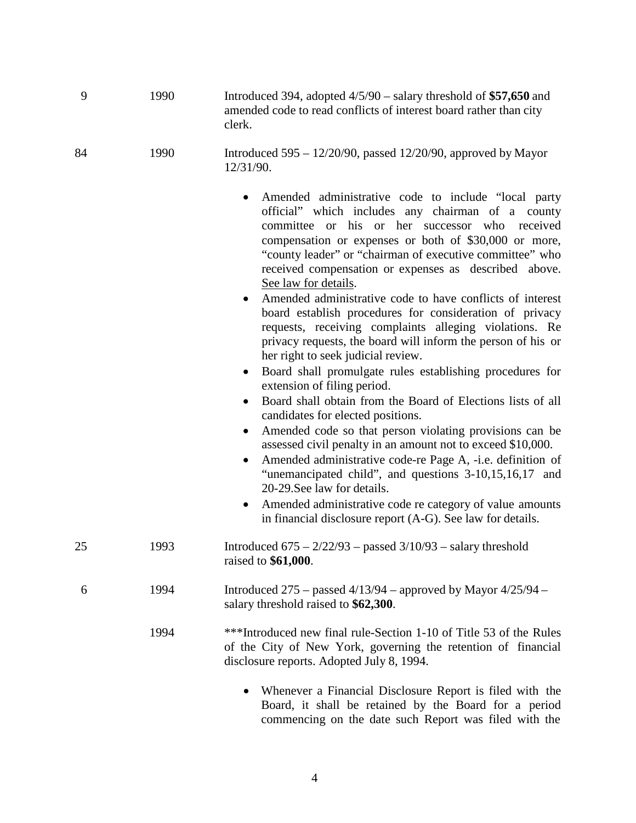| 9  | 1990 | Introduced 394, adopted $4/5/90$ – salary threshold of \$57,650 and<br>amended code to read conflicts of interest board rather than city<br>clerk.                                                                                                                                                                                                                                                                                                                                                                                                                                                                                                                                                                                                                                                                                                                                                                                                                                                                                                                                                                                                                                                                                                                                                                |
|----|------|-------------------------------------------------------------------------------------------------------------------------------------------------------------------------------------------------------------------------------------------------------------------------------------------------------------------------------------------------------------------------------------------------------------------------------------------------------------------------------------------------------------------------------------------------------------------------------------------------------------------------------------------------------------------------------------------------------------------------------------------------------------------------------------------------------------------------------------------------------------------------------------------------------------------------------------------------------------------------------------------------------------------------------------------------------------------------------------------------------------------------------------------------------------------------------------------------------------------------------------------------------------------------------------------------------------------|
| 84 | 1990 | Introduced $595 - 12/20/90$ , passed $12/20/90$ , approved by Mayor<br>12/31/90.                                                                                                                                                                                                                                                                                                                                                                                                                                                                                                                                                                                                                                                                                                                                                                                                                                                                                                                                                                                                                                                                                                                                                                                                                                  |
|    |      | Amended administrative code to include "local party<br>٠<br>official" which includes any chairman of a county<br>committee or his or her successor who<br>received<br>compensation or expenses or both of \$30,000 or more,<br>"county leader" or "chairman of executive committee" who<br>received compensation or expenses as described above.<br>See law for details.<br>Amended administrative code to have conflicts of interest<br>board establish procedures for consideration of privacy<br>requests, receiving complaints alleging violations. Re<br>privacy requests, the board will inform the person of his or<br>her right to seek judicial review.<br>Board shall promulgate rules establishing procedures for<br>$\bullet$<br>extension of filing period.<br>Board shall obtain from the Board of Elections lists of all<br>$\bullet$<br>candidates for elected positions.<br>Amended code so that person violating provisions can be<br>$\bullet$<br>assessed civil penalty in an amount not to exceed \$10,000.<br>Amended administrative code-re Page A, -i.e. definition of<br>"unemancipated child", and questions 3-10,15,16,17 and<br>20-29. See law for details.<br>Amended administrative code re category of value amounts<br>in financial disclosure report (A-G). See law for details. |
| 25 | 1993 | Introduced $675 - 2/22/93$ – passed $3/10/93$ – salary threshold<br>raised to \$61,000.                                                                                                                                                                                                                                                                                                                                                                                                                                                                                                                                                                                                                                                                                                                                                                                                                                                                                                                                                                                                                                                                                                                                                                                                                           |
| 6  | 1994 | Introduced 275 – passed $4/13/94$ – approved by Mayor $4/25/94$ –<br>salary threshold raised to \$62,300.                                                                                                                                                                                                                                                                                                                                                                                                                                                                                                                                                                                                                                                                                                                                                                                                                                                                                                                                                                                                                                                                                                                                                                                                         |
|    | 1994 | ***Introduced new final rule-Section 1-10 of Title 53 of the Rules<br>of the City of New York, governing the retention of financial<br>disclosure reports. Adopted July 8, 1994.                                                                                                                                                                                                                                                                                                                                                                                                                                                                                                                                                                                                                                                                                                                                                                                                                                                                                                                                                                                                                                                                                                                                  |
|    |      | Whenever a Financial Disclosure Report is filed with the<br>Board, it shall be retained by the Board for a period<br>commencing on the date such Report was filed with the                                                                                                                                                                                                                                                                                                                                                                                                                                                                                                                                                                                                                                                                                                                                                                                                                                                                                                                                                                                                                                                                                                                                        |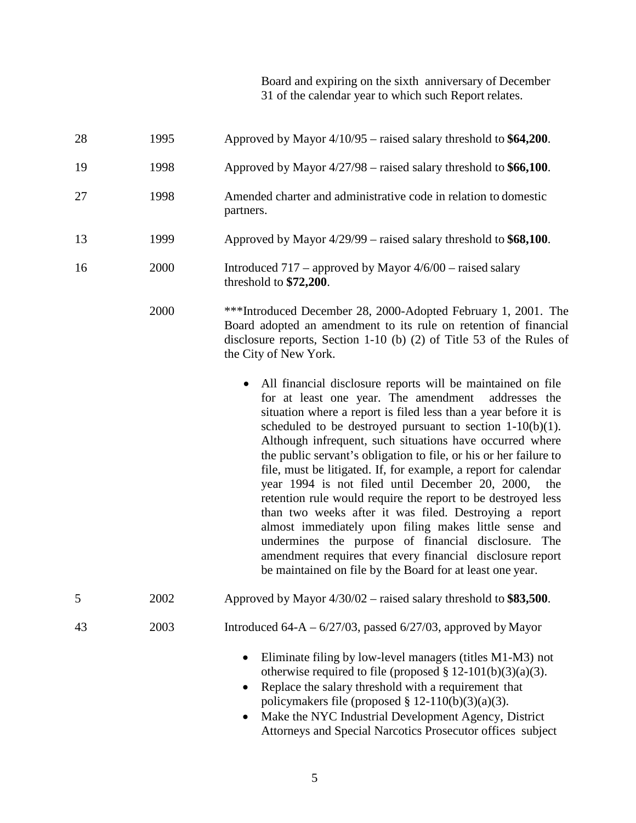Board and expiring on the sixth anniversary of December 31 of the calendar year to which such Report relates.

| 28 | 1995 | Approved by Mayor $4/10/95$ – raised salary threshold to \$64,200.                                                                                                                                                                                                                                                                                                                                                                                                                                                                                                                                                                                                                                                                                                                                                                                                                        |
|----|------|-------------------------------------------------------------------------------------------------------------------------------------------------------------------------------------------------------------------------------------------------------------------------------------------------------------------------------------------------------------------------------------------------------------------------------------------------------------------------------------------------------------------------------------------------------------------------------------------------------------------------------------------------------------------------------------------------------------------------------------------------------------------------------------------------------------------------------------------------------------------------------------------|
| 19 | 1998 | Approved by Mayor $4/27/98$ – raised salary threshold to \$66,100.                                                                                                                                                                                                                                                                                                                                                                                                                                                                                                                                                                                                                                                                                                                                                                                                                        |
| 27 | 1998 | Amended charter and administrative code in relation to domestic<br>partners.                                                                                                                                                                                                                                                                                                                                                                                                                                                                                                                                                                                                                                                                                                                                                                                                              |
| 13 | 1999 | Approved by Mayor $4/29/99$ – raised salary threshold to \$68,100.                                                                                                                                                                                                                                                                                                                                                                                                                                                                                                                                                                                                                                                                                                                                                                                                                        |
| 16 | 2000 | Introduced $717$ – approved by Mayor $4/6/00$ – raised salary<br>threshold to \$72,200.                                                                                                                                                                                                                                                                                                                                                                                                                                                                                                                                                                                                                                                                                                                                                                                                   |
|    | 2000 | ***Introduced December 28, 2000-Adopted February 1, 2001. The<br>Board adopted an amendment to its rule on retention of financial<br>disclosure reports, Section 1-10 (b) $(2)$ of Title 53 of the Rules of<br>the City of New York.                                                                                                                                                                                                                                                                                                                                                                                                                                                                                                                                                                                                                                                      |
|    |      | All financial disclosure reports will be maintained on file<br>for at least one year. The amendment<br>addresses the<br>situation where a report is filed less than a year before it is<br>scheduled to be destroyed pursuant to section $1-10(b)(1)$ .<br>Although infrequent, such situations have occurred where<br>the public servant's obligation to file, or his or her failure to<br>file, must be litigated. If, for example, a report for calendar<br>year 1994 is not filed until December 20, 2000,<br>the<br>retention rule would require the report to be destroyed less<br>than two weeks after it was filed. Destroying a report<br>almost immediately upon filing makes little sense and<br>undermines the purpose of financial disclosure. The<br>amendment requires that every financial disclosure report<br>be maintained on file by the Board for at least one year. |
| 5  | 2002 | Approved by Mayor 4/30/02 – raised salary threshold to \$83,500.                                                                                                                                                                                                                                                                                                                                                                                                                                                                                                                                                                                                                                                                                                                                                                                                                          |
| 43 | 2003 | Introduced $64-A - 6/27/03$ , passed $6/27/03$ , approved by Mayor                                                                                                                                                                                                                                                                                                                                                                                                                                                                                                                                                                                                                                                                                                                                                                                                                        |
|    |      | Eliminate filing by low-level managers (titles M1-M3) not<br>$\bullet$<br>otherwise required to file (proposed $\S 12-101(b)(3)(a)(3)$ .<br>Replace the salary threshold with a requirement that<br>$\bullet$<br>policymakers file (proposed $\S 12-110(b)(3)(a)(3)$ .<br>Make the NYC Industrial Development Agency, District<br>Attorneys and Special Narcotics Prosecutor offices subject                                                                                                                                                                                                                                                                                                                                                                                                                                                                                              |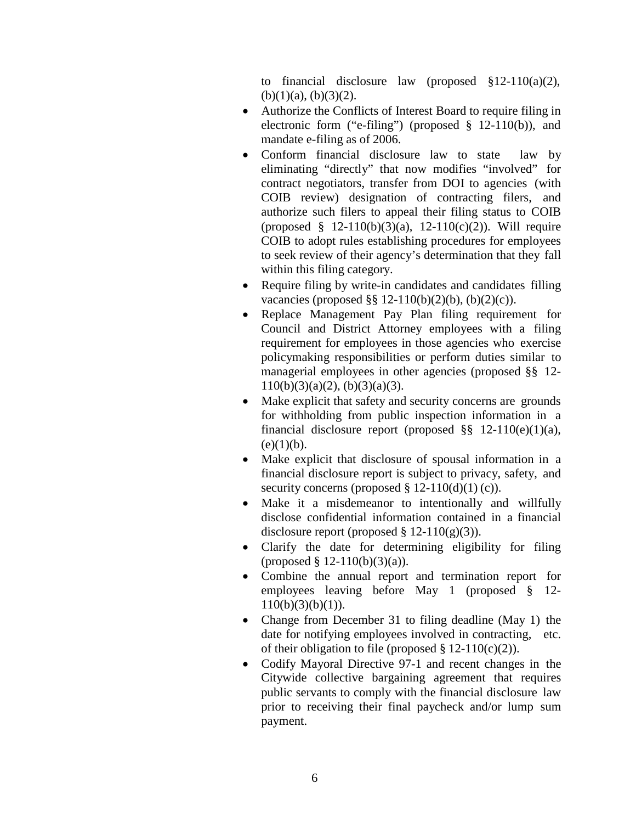to financial disclosure law (proposed §12-110(a)(2),  $(b)(1)(a)$ ,  $(b)(3)(2)$ .

- Authorize the Conflicts of Interest Board to require filing in electronic form ("e-filing") (proposed  $\S$  12-110(b)), and mandate e-filing as of 2006.
- Conform financial disclosure law to state law by eliminating "directly" that now modifies "involved" for contract negotiators, transfer from DOI to agencies (with COIB review) designation of contracting filers, and authorize such filers to appeal their filing status to COIB (proposed  $§$  12-110(b)(3)(a), 12-110(c)(2)). Will require COIB to adopt rules establishing procedures for employees to seek review of their agency's determination that they fall within this filing category.
- Require filing by write-in candidates and candidates filling vacancies (proposed §§ 12-110(b)(2)(b), (b)(2)(c)).
- Replace Management Pay Plan filing requirement for Council and District Attorney employees with a filing requirement for employees in those agencies who exercise policymaking responsibilities or perform duties similar to managerial employees in other agencies (proposed §§ 12-  $110(b)(3)(a)(2)$ ,  $(b)(3)(a)(3)$ .
- Make explicit that safety and security concerns are grounds for withholding from public inspection information in a financial disclosure report (proposed  $\S$ § 12-110(e)(1)(a),  $(e)(1)(b)$ .
- Make explicit that disclosure of spousal information in a financial disclosure report is subject to privacy, safety, and security concerns (proposed  $\S 12-110(d)(1)(c)$ ).
- Make it a misdemeanor to intentionally and willfully disclose confidential information contained in a financial disclosure report (proposed  $\S$  12-110(g)(3)).
- Clarify the date for determining eligibility for filing (proposed  $\S$  12-110(b)(3)(a)).
- Combine the annual report and termination report for employees leaving before May 1 (proposed § 12-  $110(b)(3)(b)(1)$ ).
- Change from December 31 to filing deadline (May 1) the date for notifying employees involved in contracting, etc. of their obligation to file (proposed  $\S 12-110(c)(2)$ ).
- Codify Mayoral Directive 97-1 and recent changes in the Citywide collective bargaining agreement that requires public servants to comply with the financial disclosure law prior to receiving their final paycheck and/or lump sum payment.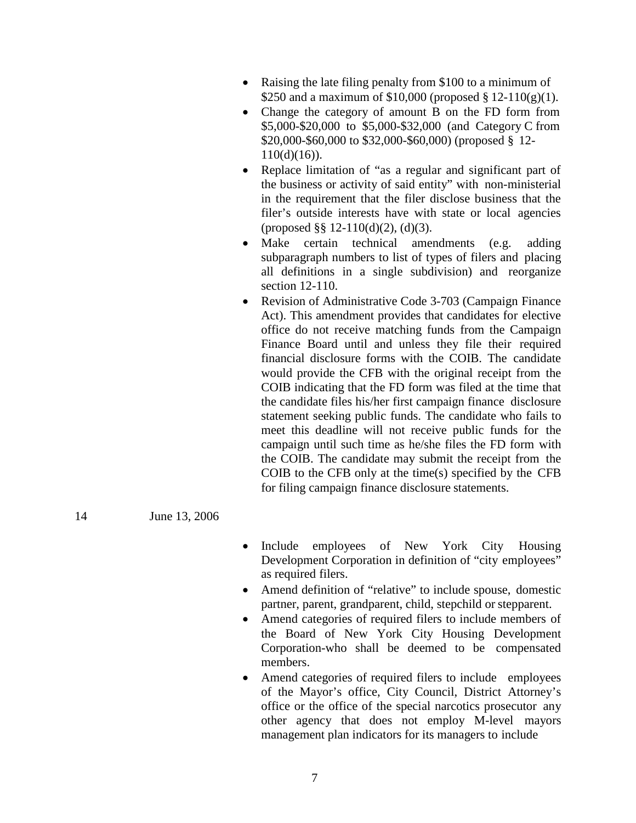- Raising the late filing penalty from \$100 to a minimum of \$250 and a maximum of \$10,000 (proposed § 12-110(g)(1).
- Change the category of amount B on the FD form from \$5,000-\$20,000 to \$5,000-\$32,000 (and Category C from \$20,000-\$60,000 to \$32,000-\$60,000) (proposed § 12-  $110(d)(16)$ .
- Replace limitation of "as a regular and significant part of the business or activity of said entity" with non-ministerial in the requirement that the filer disclose business that the filer's outside interests have with state or local agencies (proposed §§ 12-110(d)(2), (d)(3).
- Make certain technical amendments (e.g. adding subparagraph numbers to list of types of filers and placing all definitions in a single subdivision) and reorganize section 12-110.
- Revision of Administrative Code 3-703 (Campaign Finance Act). This amendment provides that candidates for elective office do not receive matching funds from the Campaign Finance Board until and unless they file their required financial disclosure forms with the COIB. The candidate would provide the CFB with the original receipt from the COIB indicating that the FD form was filed at the time that the candidate files his/her first campaign finance disclosure statement seeking public funds. The candidate who fails to meet this deadline will not receive public funds for the campaign until such time as he/she files the FD form with the COIB. The candidate may submit the receipt from the COIB to the CFB only at the time(s) specified by the CFB for filing campaign finance disclosure statements.
- 14 June 13, 2006
- Include employees of New York City Housing Development Corporation in definition of "city employees" as required filers.
- Amend definition of "relative" to include spouse, domestic partner, parent, grandparent, child, stepchild or stepparent.
- Amend categories of required filers to include members of the Board of New York City Housing Development Corporation-who shall be deemed to be compensated members.
- Amend categories of required filers to include employees of the Mayor's office, City Council, District Attorney's office or the office of the special narcotics prosecutor any other agency that does not employ M-level mayors management plan indicators for its managers to include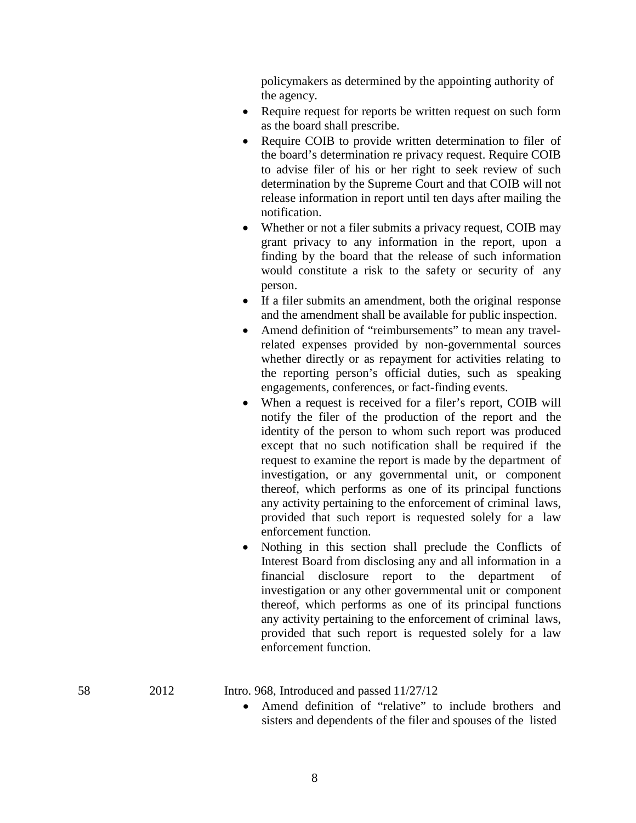policymakers as determined by the appointing authority of the agency.

- Require request for reports be written request on such form as the board shall prescribe.
- Require COIB to provide written determination to filer of the board's determination re privacy request. Require COIB to advise filer of his or her right to seek review of such determination by the Supreme Court and that COIB will not release information in report until ten days after mailing the notification.
- Whether or not a filer submits a privacy request, COIB may grant privacy to any information in the report, upon a finding by the board that the release of such information would constitute a risk to the safety or security of any person.
- If a filer submits an amendment, both the original response and the amendment shall be available for public inspection.
- Amend definition of "reimbursements" to mean any travelrelated expenses provided by non-governmental sources whether directly or as repayment for activities relating to the reporting person's official duties, such as speaking engagements, conferences, or fact-finding events.
- When a request is received for a filer's report, COIB will notify the filer of the production of the report and the identity of the person to whom such report was produced except that no such notification shall be required if the request to examine the report is made by the department of investigation, or any governmental unit, or component thereof, which performs as one of its principal functions any activity pertaining to the enforcement of criminal laws, provided that such report is requested solely for a law enforcement function.
- Nothing in this section shall preclude the Conflicts of Interest Board from disclosing any and all information in a financial disclosure report to the department of investigation or any other governmental unit or component thereof, which performs as one of its principal functions any activity pertaining to the enforcement of criminal laws, provided that such report is requested solely for a law enforcement function.

58 2012 Intro. 968, Introduced and passed 11/27/12

Amend definition of "relative" to include brothers and sisters and dependents of the filer and spouses of the listed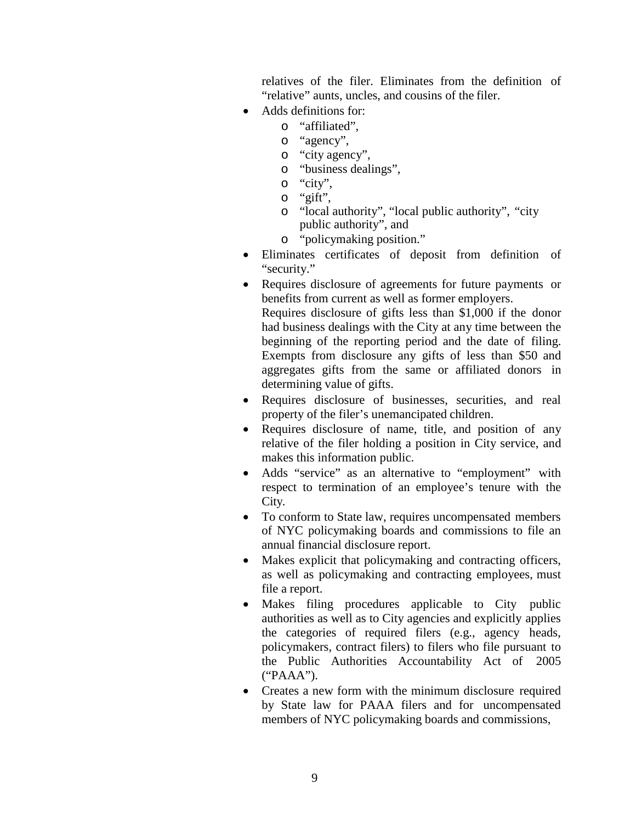relatives of the filer. Eliminates from the definition of "relative" aunts, uncles, and cousins of the filer.

- Adds definitions for:
	- o "affiliated",
	- o "agency",
	- o "city agency",
	- o "business dealings",
	- o "city",
	- o "gift",
	- o "local authority", "local public authority", "city public authority", and
	- o "policymaking position."
- Eliminates certificates of deposit from definition of "security."
- Requires disclosure of agreements for future payments or benefits from current as well as former employers. Requires disclosure of gifts less than \$1,000 if the donor had business dealings with the City at any time between the beginning of the reporting period and the date of filing. Exempts from disclosure any gifts of less than \$50 and aggregates gifts from the same or affiliated donors in determining value of gifts.
- Requires disclosure of businesses, securities, and real property of the filer's unemancipated children.
- Requires disclosure of name, title, and position of any relative of the filer holding a position in City service, and makes this information public.
- Adds "service" as an alternative to "employment" with respect to termination of an employee's tenure with the City.
- To conform to State law, requires uncompensated members of NYC policymaking boards and commissions to file an annual financial disclosure report.
- Makes explicit that policymaking and contracting officers, as well as policymaking and contracting employees, must file a report.
- Makes filing procedures applicable to City public authorities as well as to City agencies and explicitly applies the categories of required filers (e.g., agency heads, policymakers, contract filers) to filers who file pursuant to the Public Authorities Accountability Act of 2005 ("PAAA").
- Creates a new form with the minimum disclosure required by State law for PAAA filers and for uncompensated members of NYC policymaking boards and commissions,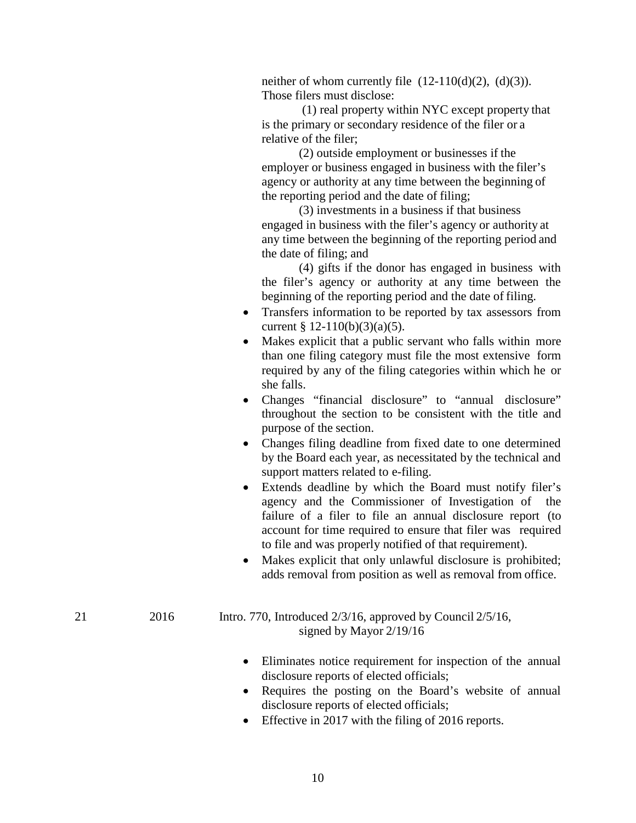neither of whom currently file  $(12-110(d)(2), (d)(3))$ . Those filers must disclose:

(1) real property within NYC except property that is the primary or secondary residence of the filer or a relative of the filer;

(2) outside employment or businesses if the employer or business engaged in business with the filer's agency or authority at any time between the beginning of the reporting period and the date of filing;

(3) investments in a business if that business engaged in business with the filer's agency or authority at any time between the beginning of the reporting period and the date of filing; and

(4) gifts if the donor has engaged in business with the filer's agency or authority at any time between the beginning of the reporting period and the date of filing.

- Transfers information to be reported by tax assessors from current § 12-110(b)(3)(a)(5).
- Makes explicit that a public servant who falls within more than one filing category must file the most extensive form required by any of the filing categories within which he or she falls.
- Changes "financial disclosure" to "annual disclosure" throughout the section to be consistent with the title and purpose of the section.
- Changes filing deadline from fixed date to one determined by the Board each year, as necessitated by the technical and support matters related to e-filing.
- Extends deadline by which the Board must notify filer's agency and the Commissioner of Investigation of the failure of a filer to file an annual disclosure report (to account for time required to ensure that filer was required to file and was properly notified of that requirement).
- Makes explicit that only unlawful disclosure is prohibited; adds removal from position as well as removal from office.
- 21 2016 Intro. 770, Introduced 2/3/16, approved by Council 2/5/16, signed by Mayor 2/19/16
	- Eliminates notice requirement for inspection of the annual disclosure reports of elected officials;
	- Requires the posting on the Board's website of annual disclosure reports of elected officials;
	- Effective in 2017 with the filing of 2016 reports.

## 10